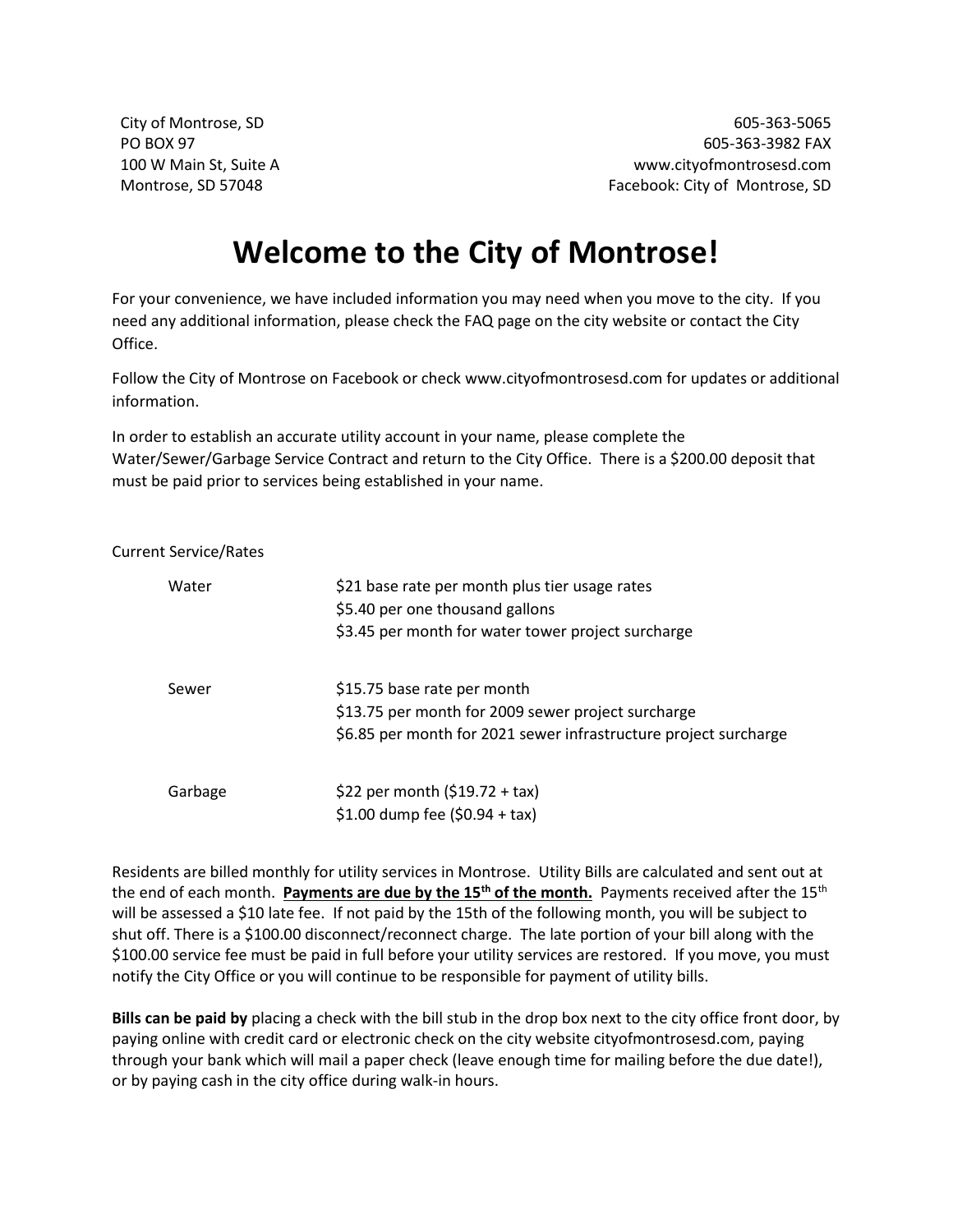City of Montrose, SD 605-363-5065 PO BOX 97 605-363-3982 FAX 100 W Main St, Suite A www.cityofmontrosesd.com Montrose, SD 57048 Facebook: City of Montrose, SD

## **Welcome to the City of Montrose!**

For your convenience, we have included information you may need when you move to the city. If you need any additional information, please check the FAQ page on the city website or contact the City Office.

Follow the City of Montrose on Facebook or check www.cityofmontrosesd.com for updates or additional information.

In order to establish an accurate utility account in your name, please complete the Water/Sewer/Garbage Service Contract and return to the City Office. There is a \$200.00 deposit that must be paid prior to services being established in your name.

## Current Service/Rates

| Water   | \$21 base rate per month plus tier usage rates<br>\$5.40 per one thousand gallons<br>\$3.45 per month for water tower project surcharge               |
|---------|-------------------------------------------------------------------------------------------------------------------------------------------------------|
| Sewer   | \$15.75 base rate per month<br>\$13.75 per month for 2009 sewer project surcharge<br>\$6.85 per month for 2021 sewer infrastructure project surcharge |
| Garbage | \$22 per month $(519.72 + tax)$<br>\$1.00 dump fee $(50.94 + tax)$                                                                                    |

Residents are billed monthly for utility services in Montrose. Utility Bills are calculated and sent out at the end of each month. **Payments are due by the 15th of the month.** Payments received after the 15th will be assessed a \$10 late fee. If not paid by the 15th of the following month, you will be subject to shut off. There is a \$100.00 disconnect/reconnect charge. The late portion of your bill along with the \$100.00 service fee must be paid in full before your utility services are restored. If you move, you must notify the City Office or you will continue to be responsible for payment of utility bills.

**Bills can be paid by** placing a check with the bill stub in the drop box next to the city office front door, by paying online with credit card or electronic check on the city website cityofmontrosesd.com, paying through your bank which will mail a paper check (leave enough time for mailing before the due date!), or by paying cash in the city office during walk-in hours.